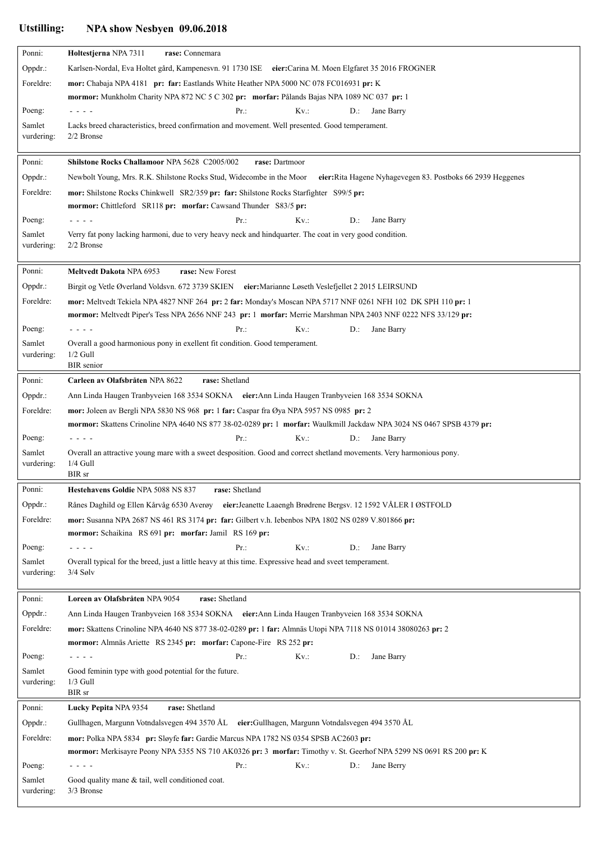## **Utstilling: NPA show Nesbyen 09.06.2018**

| Ponni:           | Holtestjerna NPA 7311<br>rase: Connemara                                                                                                                                                                                      |
|------------------|-------------------------------------------------------------------------------------------------------------------------------------------------------------------------------------------------------------------------------|
| Oppdr.:          | Karlsen-Nordal, Eva Holtet gård, Kampenesvn. 91 1730 ISE eier:Carina M. Moen Elgfaret 35 2016 FROGNER                                                                                                                         |
| Foreldre:        | mor: Chabaja NPA 4181 pr: far: Eastlands White Heather NPA 5000 NC 078 FC016931 pr: K                                                                                                                                         |
|                  | mormor: Munkholm Charity NPA 872 NC 5 C 302 pr: morfar: Pålands Bajas NPA 1089 NC 037 pr: 1                                                                                                                                   |
| Poeng:           | Pr:<br>$Kv$ .:<br>Jane Barry<br>D.:                                                                                                                                                                                           |
| Samlet           | Lacks breed characteristics, breed confirmation and movement. Well presented. Good temperament.                                                                                                                               |
| vurdering:       | $2/2$ Bronse                                                                                                                                                                                                                  |
| Ponni:           | Shilstone Rocks Challamoor NPA 5628 C2005/002<br>rase: Dartmoor                                                                                                                                                               |
| Oppdr.:          | Newbolt Young, Mrs. R.K. Shilstone Rocks Stud, Widecombe in the Moor<br>eier: Rita Hagene Nyhagevegen 83. Postboks 66 2939 Heggenes                                                                                           |
| Foreldre:        | mor: Shilstone Rocks Chinkwell SR2/359 pr: far: Shilstone Rocks Starfighter S99/5 pr:                                                                                                                                         |
|                  | mormor: Chittleford SR118 pr: morfar: Cawsand Thunder S83/5 pr:                                                                                                                                                               |
| Poeng:           | Jane Barry<br>Pr:<br>$Kv$ .:<br>$D$ .:                                                                                                                                                                                        |
| Samlet           | Verry fat pony lacking harmoni, due to very heavy neck and hindquarter. The coat in very good condition.                                                                                                                      |
| vurdering:       | 2/2 Bronse                                                                                                                                                                                                                    |
|                  |                                                                                                                                                                                                                               |
| Ponni:           | rase: New Forest<br><b>Meltvedt Dakota NPA 6953</b>                                                                                                                                                                           |
| Oppdr.:          | Birgit og Vetle Øverland Voldsvn. 672 3739 SKIEN eier: Marianne Løseth Veslefjellet 2 2015 LEIRSUND                                                                                                                           |
| Foreldre:        | mor: Meltvedt Tekiela NPA 4827 NNF 264 pr: 2 far: Monday's Moscan NPA 5717 NNF 0261 NFH 102 DK SPH 110 pr: 1<br>mormor: Meltvedt Piper's Tess NPA 2656 NNF 243 pr: 1 morfar: Merrie Marshman NPA 2403 NNF 0222 NFS 33/129 pr: |
| Poeng:           | Pr.<br>$Kv$ .:<br>Jane Barry                                                                                                                                                                                                  |
| Samlet           | D.:<br>Overall a good harmonious pony in exellent fit condition. Good temperament.                                                                                                                                            |
| vurdering:       | $1/2$ Gull                                                                                                                                                                                                                    |
|                  | <b>BIR</b> senior                                                                                                                                                                                                             |
| Ponni:           | Carleen av Olafsbråten NPA 8622<br>rase: Shetland                                                                                                                                                                             |
| Oppdr.:          | Ann Linda Haugen Tranbyveien 168 3534 SOKNA eier: Ann Linda Haugen Tranbyveien 168 3534 SOKNA                                                                                                                                 |
| Foreldre:        | mor: Joleen av Bergli NPA 5830 NS 968 pr: 1 far: Caspar fra Øya NPA 5957 NS 0985 pr: 2                                                                                                                                        |
|                  | mormor: Skattens Crinoline NPA 4640 NS 877 38-02-0289 pr: 1 morfar: Waulkmill Jackdaw NPA 3024 NS 0467 SPSB 4379 pr:                                                                                                          |
| Poeng:           | Pr:<br>$Kv$ .:<br>$D$ .:<br>Jane Barry                                                                                                                                                                                        |
| Samlet           | Overall an attractive young mare with a sweet desposition. Good and correct shetland movements. Very harmonious pony.                                                                                                         |
| vurdering:       | $1/4$ Gull<br>BIR sr                                                                                                                                                                                                          |
| Ponni:           | Hestehavens Goldie NPA 5088 NS 837<br>rase: Shetland                                                                                                                                                                          |
| Oppdr.:          | Rånes Daghild og Ellen Kårvåg 6530 Averøy eier: Jeanette Laaengh Brødrene Bergsv. 12 1592 VÅLER I ØSTFOLD                                                                                                                     |
| Foreldre:        | mor: Susanna NPA 2687 NS 461 RS 3174 pr: far: Gilbert v.h. Iebenbos NPA 1802 NS 0289 V.801866 pr:                                                                                                                             |
|                  | mormor: Schaikina RS 691 pr: morfar: Jamil RS 169 pr:                                                                                                                                                                         |
| Poeng:           | $Kv$ .:<br>Jane Barry<br>Pr.<br>$D$ .:<br>- - - -                                                                                                                                                                             |
| Samlet           | Overall typical for the breed, just a little heavy at this time. Expressive head and sveet temperament.                                                                                                                       |
| vurdering:       | $3/4$ Sølv                                                                                                                                                                                                                    |
|                  |                                                                                                                                                                                                                               |
| Ponni:           | Loreen av Olafsbråten NPA 9054<br>rase: Shetland                                                                                                                                                                              |
| Oppdr.:          | Ann Linda Haugen Tranbyveien 168 3534 SOKNA eier: Ann Linda Haugen Tranbyveien 168 3534 SOKNA                                                                                                                                 |
| Foreldre:        | mor: Skattens Crinoline NPA 4640 NS 877 38-02-0289 pr: 1 far: Almnäs Utopi NPA 7118 NS 01014 38080263 pr: 2                                                                                                                   |
|                  | mormor: Almnäs Ariette RS 2345 pr: morfar: Capone-Fire RS 252 pr:                                                                                                                                                             |
| Poeng:<br>Samlet | Pr.<br>$Kv$ .:<br>$D$ .:<br>Jane Barry<br>- - - -<br>Good feminin type with good potential for the future.                                                                                                                    |
| vurdering:       | $1/3$ Gull                                                                                                                                                                                                                    |
|                  | BIR sr                                                                                                                                                                                                                        |
| Ponni:           | rase: Shetland<br>Lucky Pepita NPA 9354                                                                                                                                                                                       |
| Oppdr.:          | Gullhagen, Margunn Votndalsvegen 494 3570 ÅL eier: Gullhagen, Margunn Votndalsvegen 494 3570 ÅL                                                                                                                               |
| Foreldre:        | mor: Polka NPA 5834 pr: Sløyfe far: Gardie Marcus NPA 1782 NS 0354 SPSB AC2603 pr:                                                                                                                                            |
|                  | mormor: Merkisayre Peony NPA 5355 NS 710 AK0326 pr: 3 morfar: Timothy v. St. Geerhof NPA 5299 NS 0691 RS 200 pr: K                                                                                                            |
| Poeng:           | Pr.<br>$Kv$ .:<br>$D$ .:<br>Jane Berry<br>- - - -                                                                                                                                                                             |
| Samlet           | Good quality mane & tail, well conditioned coat.                                                                                                                                                                              |
| vurdering:       | 3/3 Bronse                                                                                                                                                                                                                    |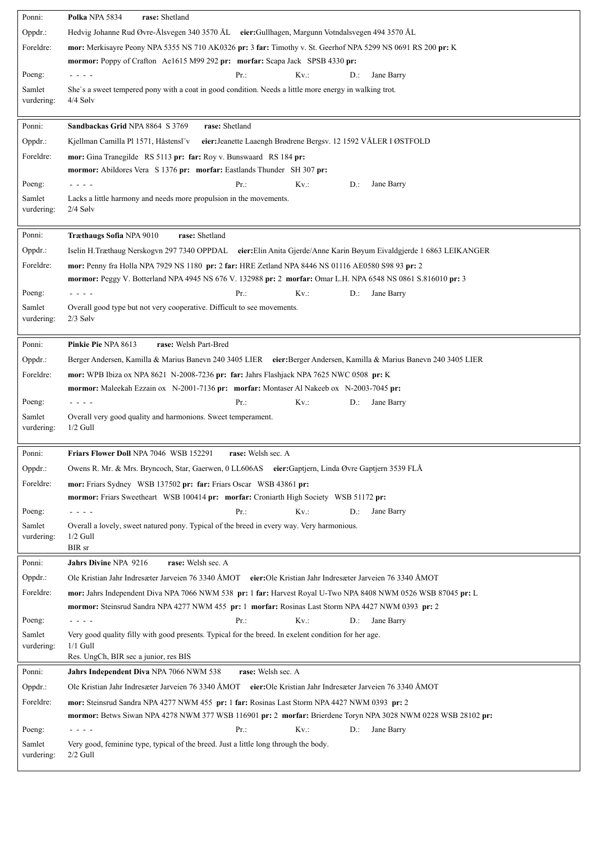| Ponni:               | Polka NPA 5834<br>rase: Shetland                                                                                                                                                                                    |
|----------------------|---------------------------------------------------------------------------------------------------------------------------------------------------------------------------------------------------------------------|
| Oppdr.:              | Hedvig Johanne Rud Øvre-Ålsvegen 340 3570 ÅL eier:Gullhagen, Margunn Votndalsvegen 494 3570 ÅL                                                                                                                      |
| Foreldre:            | mor: Merkisayre Peony NPA 5355 NS 710 AK0326 pr: 3 far: Timothy v. St. Geerhof NPA 5299 NS 0691 RS 200 pr: K                                                                                                        |
|                      | mormor: Poppy of Crafton Ae1615 M99 292 pr: morfar: Scapa Jack SPSB 4330 pr:                                                                                                                                        |
| Poeng:               | Pr:<br>$Kv$ .:<br>Jane Barry<br>D.:<br>- - - -                                                                                                                                                                      |
| Samlet               | She's a sweet tempered pony with a coat in good condition. Needs a little more energy in walking trot.                                                                                                              |
| vurdering:           | $4/4$ Sølv                                                                                                                                                                                                          |
| Ponni:               | rase: Shetland<br>Sandbackas Grid NPA 8864 S 3769                                                                                                                                                                   |
| Oppdr.:              | eier: Jeanette Laaengh Brødrene Bergsv. 12 1592 VÅLER I ØSTFOLD<br>Kjellman Camilla Pl 1571, Håstensl"v                                                                                                             |
| Foreldre:            | mor: Gina Tranegilde RS 5113 pr: far: Roy v. Bunswaard RS 184 pr:                                                                                                                                                   |
|                      | mormor: Abildores Vera S 1376 pr: morfar: Eastlands Thunder SH 307 pr:                                                                                                                                              |
| Poeng:               | Pr:<br>$Kv$ .:<br>Jane Barry<br>$D$ .:                                                                                                                                                                              |
| Samlet               | Lacks a little harmony and needs more propulsion in the movements.                                                                                                                                                  |
| vurdering:           | $2/4$ Sølv                                                                                                                                                                                                          |
|                      | rase: Shetland                                                                                                                                                                                                      |
| Ponni:               | Træthaugs Sofia NPA 9010<br>Iselin H.Træthaug Nerskogvn 297 7340 OPPDAL eier: Elin Anita Gjerde/Anne Karin Bøyum Eivaldgjerde 1 6863 LEIKANGER                                                                      |
| Oppdr.:              |                                                                                                                                                                                                                     |
| Foreldre:            | mor: Penny fra Holla NPA 7929 NS 1180 pr: 2 far: HRE Zetland NPA 8446 NS 01116 AE0580 S98 93 pr: 2<br>mormor: Peggy V. Botterland NPA 4945 NS 676 V. 132988 pr: 2 morfar: Omar L.H. NPA 6548 NS 0861 S.816010 pr: 3 |
| Poeng:               | Jane Barry<br>$Pr.$ :<br>$Kv$ .:<br>$D$ .:<br>- - - -                                                                                                                                                               |
| Samlet               | Overall good type but not very cooperative. Difficult to see movements.                                                                                                                                             |
| vurdering:           | $2/3$ Sølv                                                                                                                                                                                                          |
|                      |                                                                                                                                                                                                                     |
| Ponni:               | Pinkie Pie NPA 8613<br>rase: Welsh Part-Bred                                                                                                                                                                        |
| Oppdr.:              | Berger Andersen, Kamilla & Marius Banevn 240 3405 LIER eier:Berger Andersen, Kamilla & Marius Banevn 240 3405 LIER                                                                                                  |
| Foreldre:            | mor: WPB Ibiza ox NPA 8621 N-2008-7236 pr: far: Jahrs Flashjack NPA 7625 NWC 0508 pr: K                                                                                                                             |
|                      | mormor: Maleekah Ezzain ox N-2001-7136 pr: morfar: Montaser Al Nakeeb ox N-2003-7045 pr:                                                                                                                            |
|                      |                                                                                                                                                                                                                     |
| Poeng:               | $Pr.$ :<br>$Kv$ .:<br>D.: Jane Barry                                                                                                                                                                                |
| Samlet               | Overall very good quality and harmonions. Sweet temperament.                                                                                                                                                        |
| vurdering:           | $1/2$ Gull                                                                                                                                                                                                          |
| Ponni:               | Friars Flower Doll NPA 7046 WSB 152291<br>rase: Welsh sec. A                                                                                                                                                        |
|                      | Owens R. Mr. & Mrs. Bryncoch, Star, Gaerwen, 0 LL606AS eier: Gaptjern, Linda Øvre Gaptjern 3539 FLÅ                                                                                                                 |
| Oppdr.:<br>Foreldre: |                                                                                                                                                                                                                     |
|                      | mor: Friars Sydney WSB 137502 pr: far: Friars Oscar WSB 43861 pr:<br>mormor: Friars Sweetheart WSB 100414 pr: morfar: Croniarth High Society WSB 51172 pr:                                                          |
| Poeng:               | Pr.<br>$Kv$ .:<br>Jane Barry<br>D.:<br>- - - -                                                                                                                                                                      |
| Samlet               | Overall a lovely, sweet natured pony. Typical of the breed in every way. Very harmonious.                                                                                                                           |
| vurdering:           | $1/2$ Gull                                                                                                                                                                                                          |
|                      | BIR sr                                                                                                                                                                                                              |
| Ponni:               | Jahrs Divine NPA 9216<br>rase: Welsh sec. A                                                                                                                                                                         |
| Oppdr.:              | Ole Kristian Jahr Indresæter Jarveien 76 3340 ÅMOT eier: Ole Kristian Jahr Indresæter Jarveien 76 3340 ÅMOT                                                                                                         |
| Foreldre:            | mor: Jahrs Independent Diva NPA 7066 NWM 538 pr: 1 far: Harvest Royal U-Two NPA 8408 NWM 0526 WSB 87045 pr: L                                                                                                       |
|                      | mormor: Steinsrud Sandra NPA 4277 NWM 455 pr: 1 morfar: Rosinas Last Storm NPA 4427 NWM 0393 pr: 2                                                                                                                  |
| Poeng:               | $Kv$ .:<br>Pr:<br>Jane Barry<br>D.:<br>- - - -                                                                                                                                                                      |
| Samlet<br>vurdering: | Very good quality filly with good presents. Typical for the breed. In exelent condition for her age.<br>$1/1$ Gull                                                                                                  |
|                      | Res. UngCh, BIR sec a junior, res BIS                                                                                                                                                                               |
| Ponni:               | rase: Welsh sec. A<br>Jahrs Independent Diva NPA 7066 NWM 538                                                                                                                                                       |
| Oppdr.:              | Ole Kristian Jahr Indresæter Jarveien 76 3340 ÅMOT eier: Ole Kristian Jahr Indresæter Jarveien 76 3340 ÅMOT                                                                                                         |
| Foreldre:            | mor: Steinsrud Sandra NPA 4277 NWM 455 pr: 1 far: Rosinas Last Storm NPA 4427 NWM 0393 pr: 2                                                                                                                        |
|                      | mormor: Betws Siwan NPA 4278 NWM 377 WSB 116901 pr: 2 morfar: Brierdene Toryn NPA 3028 NWM 0228 WSB 28102 pr:                                                                                                       |
| Poeng:               | Kv.:<br>Pr.<br>Jane Barry<br>D.:<br>- - - -                                                                                                                                                                         |
| Samlet<br>vurdering: | Very good, feminine type, typical of the breed. Just a little long through the body.<br>$2/2$ Gull                                                                                                                  |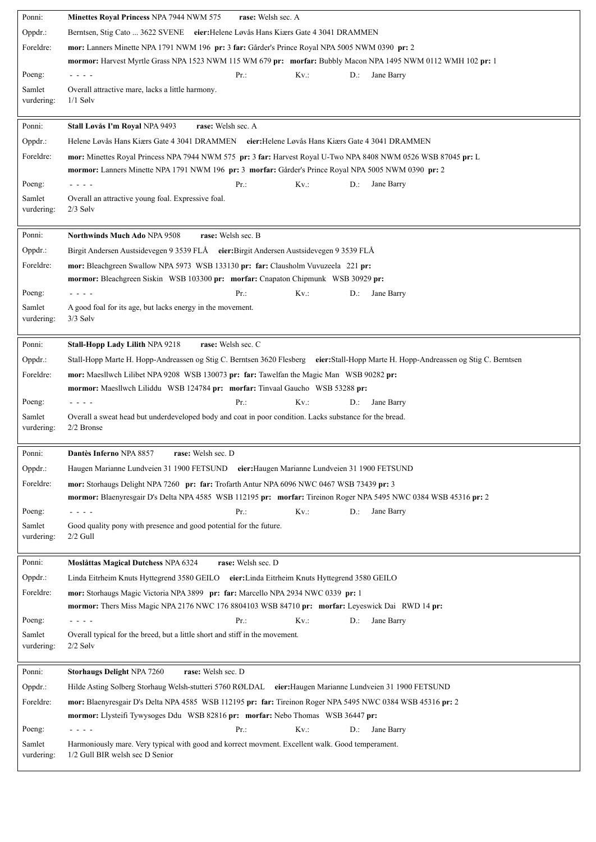| Ponni:     | Minettes Royal Princess NPA 7944 NWM 575<br>rase: Welsh sec. A                                                                      |
|------------|-------------------------------------------------------------------------------------------------------------------------------------|
| Oppdr.:    | Berntsen, Stig Cato  3622 SVENE eier: Helene Løvås Hans Kiærs Gate 4 3041 DRAMMEN                                                   |
| Foreldre:  | mor: Lanners Minette NPA 1791 NWM 196 pr: 3 far: Gårder's Prince Royal NPA 5005 NWM 0390 pr: 2                                      |
|            | mormor: Harvest Myrtle Grass NPA 1523 NWM 115 WM 679 pr: morfar: Bubbly Macon NPA 1495 NWM 0112 WMH 102 pr: 1                       |
| Poeng:     | Pr:<br>$Kv$ .:<br>Jane Barry<br>D.:<br>- - - -                                                                                      |
| Samlet     | Overall attractive mare, lacks a little harmony.                                                                                    |
| vurdering: | $1/1$ Sølv                                                                                                                          |
|            |                                                                                                                                     |
| Ponni:     | rase: Welsh sec. A<br>Stall Løvås I'm Royal NPA 9493                                                                                |
| Oppdr.:    | Helene Løvås Hans Kiærs Gate 4 3041 DRAMMEN eier: Helene Løvås Hans Kiærs Gate 4 3041 DRAMMEN                                       |
| Foreldre:  | mor: Minettes Royal Princess NPA 7944 NWM 575 pr: 3 far: Harvest Royal U-Two NPA 8408 NWM 0526 WSB 87045 pr: L                      |
|            | mormor: Lanners Minette NPA 1791 NWM 196 pr: 3 morfar: Gårder's Prince Royal NPA 5005 NWM 0390 pr: 2                                |
| Poeng:     | $Kv$ .:<br>Pr:<br>Jane Barry<br>D.:<br>- - - -                                                                                      |
| Samlet     | Overall an attractive young foal. Expressive foal.                                                                                  |
| vurdering: | $2/3$ Sølv                                                                                                                          |
|            |                                                                                                                                     |
| Ponni:     | rase: Welsh sec. B<br><b>Northwinds Much Ado NPA 9508</b>                                                                           |
| Oppdr.:    | Birgit Andersen Austsidevegen 9 3539 FLÅ eier: Birgit Andersen Austsidevegen 9 3539 FLÅ                                             |
| Foreldre:  | mor: Bleachgreen Swallow NPA 5973 WSB 133130 pr: far: Clausholm Vuvuzeela 221 pr:                                                   |
|            | mormor: Bleachgreen Siskin WSB 103300 pr: morfar: Cnapaton Chipmunk WSB 30929 pr:                                                   |
| Poeng:     | $Kv$ .:<br>Pr:<br>$D$ .:<br>Jane Barry<br>- - - -                                                                                   |
| Samlet     | A good foal for its age, but lacks energy in the movement.                                                                          |
| vurdering: | $3/3$ Sølv                                                                                                                          |
|            |                                                                                                                                     |
| Ponni:     | rase: Welsh sec. C<br><b>Stall-Hopp Lady Lilith NPA 9218</b>                                                                        |
| Oppdr.:    | Stall-Hopp Marte H. Hopp-Andreassen og Stig C. Berntsen 3620 Flesberg eier: Stall-Hopp Marte H. Hopp-Andreassen og Stig C. Berntsen |
| Foreldre:  | mor: Maesllwch Lilibet NPA 9208 WSB 130073 pr: far: Tawelfan the Magic Man WSB 90282 pr:                                            |
|            | mormor: Maesllwch Liliddu WSB 124784 pr: morfar: Tinvaal Gaucho WSB 53288 pr:                                                       |
| Poeng:     | Pr:<br>$Kv$ .:<br>Jane Barry<br>$D$ .:                                                                                              |
| Samlet     | Overall a sweat head but underdeveloped body and coat in poor condition. Lacks substance for the bread.                             |
| vurdering: | 2/2 Bronse                                                                                                                          |
|            |                                                                                                                                     |
| Ponni:     | Dantès Inferno NPA 8857<br>rase: Welsh sec. D                                                                                       |
| Oppdr.:    | Haugen Marianne Lundveien 31 1900 FETSUND eier: Haugen Marianne Lundveien 31 1900 FETSUND                                           |
| Foreldre:  | mor: Storhaugs Delight NPA 7260 pr: far: Trofarth Antur NPA 6096 NWC 0467 WSB 73439 pr: 3                                           |
|            | mormor: Blaenyresgair D's Delta NPA 4585 WSB 112195 pr: morfar: Tireinon Roger NPA 5495 NWC 0384 WSB 45316 pr: 2                    |
| Poeng:     | $Kv$ .:<br>Jane Barry<br>$Pr.$ :<br>$D$ .:<br>- - - -                                                                               |
| Samlet     | Good quality pony with presence and good potential for the future.                                                                  |
| vurdering: | $2/2$ Gull                                                                                                                          |
|            |                                                                                                                                     |
| Ponni:     | rase: Welsh sec. D<br>Moslåttas Magical Dutchess NPA 6324                                                                           |
| Oppdr.:    |                                                                                                                                     |
| Foreldre:  | Linda Eitrheim Knuts Hyttegrend 3580 GEILO<br>eier: Linda Eitrheim Knuts Hyttegrend 3580 GEILO                                      |
|            | mor: Storhaugs Magic Victoria NPA 3899 pr: far: Marcello NPA 2934 NWC 0339 pr: 1                                                    |
|            | mormor: Thers Miss Magic NPA 2176 NWC 176 8804103 WSB 84710 pr: morfar: Leyeswick Dai RWD 14 pr:                                    |
| Poeng:     | $Kv$ .:<br>Pr.<br>D.:<br>Jane Barry<br>.                                                                                            |
| Samlet     | Overall typical for the breed, but a little short and stiff in the movement.                                                        |
| vurdering: | $2/2$ Sølv                                                                                                                          |
|            |                                                                                                                                     |
| Ponni:     | rase: Welsh sec. D<br>Storhaugs Delight NPA 7260                                                                                    |
| Oppdr.:    | Hilde Asting Solberg Storhaug Welsh-stutteri 5760 RØLDAL eier: Haugen Marianne Lundveien 31 1900 FETSUND                            |
| Foreldre:  | mor: Blaenyresgair D's Delta NPA 4585 WSB 112195 pr: far: Tireinon Roger NPA 5495 NWC 0384 WSB 45316 pr: 2                          |
|            | mormor: Llysteifi Tywysoges Ddu WSB 82816 pr: morfar: Nebo Thomas WSB 36447 pr:                                                     |
| Poeng:     | Pr:<br>$Kv$ .:<br>D.:<br>Jane Barry<br>- - - -                                                                                      |
| Samlet     | Harmoniously mare. Very typical with good and korrect movment. Excellent walk. Good temperament.                                    |
| vurdering: | 1/2 Gull BIR welsh sec D Senior                                                                                                     |